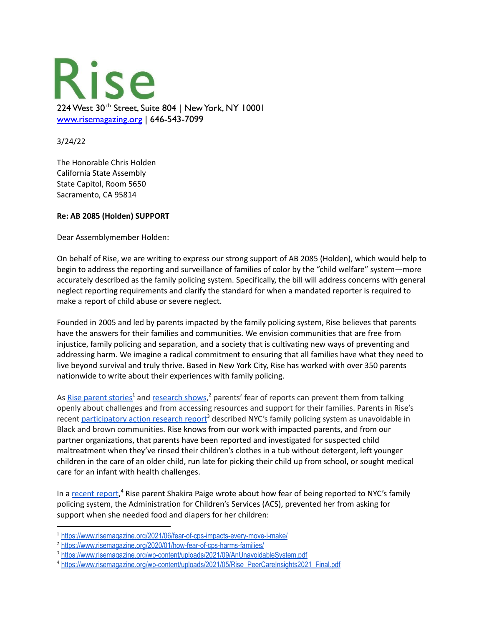

3/24/22

The Honorable Chris Holden California State Assembly State Capitol, Room 5650 Sacramento, CA 95814

## **Re: AB 2085 (Holden) SUPPORT**

Dear Assemblymember Holden:

On behalf of Rise, we are writing to express our strong support of AB 2085 (Holden), which would help to begin to address the reporting and surveillance of families of color by the "child welfare" system—more accurately described as the family policing system. Specifically, the bill will address concerns with general neglect reporting requirements and clarify the standard for when a mandated reporter is required to make a report of child abuse or severe neglect.

Founded in 2005 and led by parents impacted by the family policing system, Rise believes that parents have the answers for their families and communities. We envision communities that are free from injustice, family policing and separation, and a society that is cultivating new ways of preventing and addressing harm. We imagine a radical commitment to ensuring that all families have what they need to live beyond survival and truly thrive. Based in New York City, Rise has worked with over 350 parents nationwide to write about their experiences with family policing.

As **Rise parent [stories](https://www.risemagazine.org/2021/06/fear-of-cps-impacts-every-move-i-make/)<sup>1</sup> and [research](https://www.risemagazine.org/2020/01/how-fear-of-cps-harms-families/) shows**,<sup>2</sup> parents' fear of reports can prevent them from talking openly about challenges and from accessing resources and support for their families. Parents in Rise's recent [participatory](https://www.risemagazine.org/wp-content/uploads/2021/09/AnUnavoidableSystem.pdf) action research report<sup>3</sup> described NYC's family policing system as unavoidable in Black and brown communities. Rise knows from our work with impacted parents, and from our partner organizations, that parents have been reported and investigated for suspected child maltreatment when they've rinsed their children's clothes in a tub without detergent, left younger children in the care of an older child, run late for picking their child up from school, or sought medical care for an infant with health challenges.

In a [recent](https://www.risemagazine.org/wp-content/uploads/2021/05/Rise_PeerCareInsights2021_Final.pdf) report,<sup>4</sup> Rise parent Shakira Paige wrote about how fear of being reported to NYC's family policing system, the Administration for Children's Services (ACS), prevented her from asking for support when she needed food and diapers for her children:

<sup>1</sup> <https://www.risemagazine.org/2021/06/fear-of-cps-impacts-every-move-i-make/>

<sup>&</sup>lt;sup>2</sup> <https://www.risemagazine.org/2020/01/how-fear-of-cps-harms-families/>

<sup>&</sup>lt;sup>3</sup> <https://www.risemagazine.org/wp-content/uploads/2021/09/AnUnavoidableSystem.pdf>

<sup>&</sup>lt;sup>4</sup> [https://www.risemagazine.org/wp-content/uploads/2021/05/Rise\\_PeerCareInsights2021\\_Final.pdf](https://www.risemagazine.org/wp-content/uploads/2021/05/Rise_PeerCareInsights2021_Final.pdf)